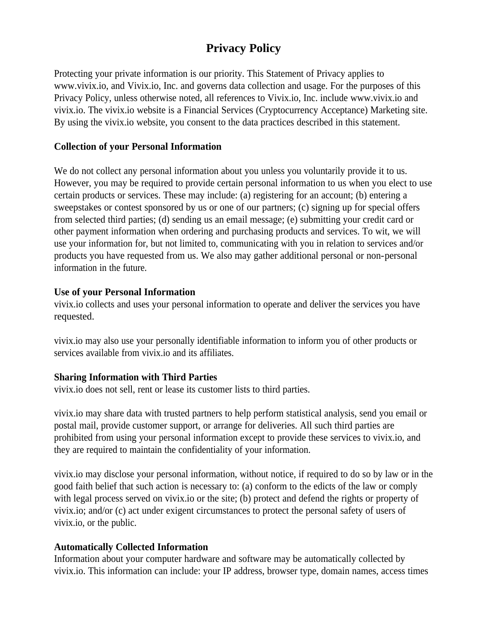# **Privacy Policy**

Protecting your private information is our priority. This Statement of Privacy applies to www.vivix.io, and Vivix.io, Inc. and governs data collection and usage. For the purposes of this Privacy Policy, unless otherwise noted, all references to Vivix.io, Inc. include www.vivix.io and vivix.io. The vivix.io website is a Financial Services (Cryptocurrency Acceptance) Marketing site. By using the vivix.io website, you consent to the data practices described in this statement.

#### **Collection of your Personal Information**

We do not collect any personal information about you unless you voluntarily provide it to us. However, you may be required to provide certain personal information to us when you elect to use certain products or services. These may include: (a) registering for an account; (b) entering a sweepstakes or contest sponsored by us or one of our partners; (c) signing up for special offers from selected third parties; (d) sending us an email message; (e) submitting your credit card or other payment information when ordering and purchasing products and services. To wit, we will use your information for, but not limited to, communicating with you in relation to services and/or products you have requested from us. We also may gather additional personal or non-personal information in the future.

#### **Use of your Personal Information**

vivix.io collects and uses your personal information to operate and deliver the services you have requested.

vivix.io may also use your personally identifiable information to inform you of other products or services available from vivix.io and its affiliates.

## **Sharing Information with Third Parties**

vivix.io does not sell, rent or lease its customer lists to third parties.

vivix.io may share data with trusted partners to help perform statistical analysis, send you email or postal mail, provide customer support, or arrange for deliveries. All such third parties are prohibited from using your personal information except to provide these services to vivix.io, and they are required to maintain the confidentiality of your information.

vivix.io may disclose your personal information, without notice, if required to do so by law or in the good faith belief that such action is necessary to: (a) conform to the edicts of the law or comply with legal process served on vivix.io or the site; (b) protect and defend the rights or property of vivix.io; and/or (c) act under exigent circumstances to protect the personal safety of users of vivix.io, or the public.

## **Automatically Collected Information**

Information about your computer hardware and software may be automatically collected by vivix.io. This information can include: your IP address, browser type, domain names, access times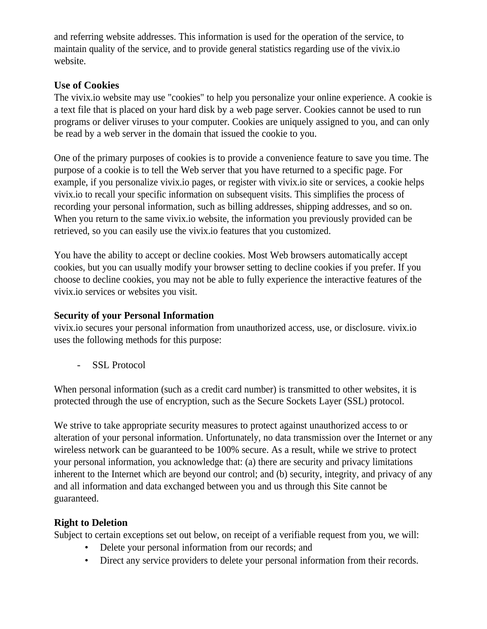and referring website addresses. This information is used for the operation of the service, to maintain quality of the service, and to provide general statistics regarding use of the vivix.io website.

## **Use of Cookies**

The vivix.io website may use "cookies" to help you personalize your online experience. A cookie is a text file that is placed on your hard disk by a web page server. Cookies cannot be used to run programs or deliver viruses to your computer. Cookies are uniquely assigned to you, and can only be read by a web server in the domain that issued the cookie to you.

One of the primary purposes of cookies is to provide a convenience feature to save you time. The purpose of a cookie is to tell the Web server that you have returned to a specific page. For example, if you personalize vivix.io pages, or register with vivix.io site or services, a cookie helps vivix.io to recall your specific information on subsequent visits. This simplifies the process of recording your personal information, such as billing addresses, shipping addresses, and so on. When you return to the same vivix io website, the information you previously provided can be retrieved, so you can easily use the vivix.io features that you customized.

You have the ability to accept or decline cookies. Most Web browsers automatically accept cookies, but you can usually modify your browser setting to decline cookies if you prefer. If you choose to decline cookies, you may not be able to fully experience the interactive features of the vivix.io services or websites you visit.

#### **Security of your Personal Information**

vivix.io secures your personal information from unauthorized access, use, or disclosure. vivix.io uses the following methods for this purpose:

- SSL Protocol

When personal information (such as a credit card number) is transmitted to other websites, it is protected through the use of encryption, such as the Secure Sockets Layer (SSL) protocol.

We strive to take appropriate security measures to protect against unauthorized access to or alteration of your personal information. Unfortunately, no data transmission over the Internet or any wireless network can be guaranteed to be 100% secure. As a result, while we strive to protect your personal information, you acknowledge that: (a) there are security and privacy limitations inherent to the Internet which are beyond our control; and (b) security, integrity, and privacy of any and all information and data exchanged between you and us through this Site cannot be guaranteed.

## **Right to Deletion**

Subject to certain exceptions set out below, on receipt of a verifiable request from you, we will:

- Delete your personal information from our records; and
- Direct any service providers to delete your personal information from their records.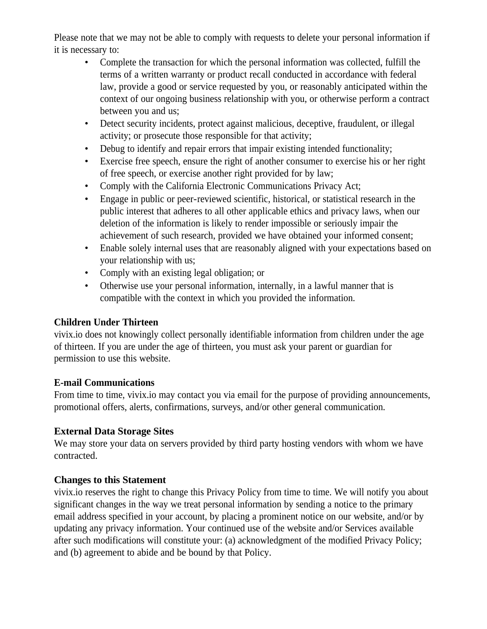Please note that we may not be able to comply with requests to delete your personal information if it is necessary to:

- Complete the transaction for which the personal information was collected, fulfill the terms of a written warranty or product recall conducted in accordance with federal law, provide a good or service requested by you, or reasonably anticipated within the context of our ongoing business relationship with you, or otherwise perform a contract between you and us;
- Detect security incidents, protect against malicious, deceptive, fraudulent, or illegal activity; or prosecute those responsible for that activity;
- Debug to identify and repair errors that impair existing intended functionality;
- Exercise free speech, ensure the right of another consumer to exercise his or her right of free speech, or exercise another right provided for by law;
- Comply with the California Electronic Communications Privacy Act;
- Engage in public or peer-reviewed scientific, historical, or statistical research in the public interest that adheres to all other applicable ethics and privacy laws, when our deletion of the information is likely to render impossible or seriously impair the achievement of such research, provided we have obtained your informed consent;
- Enable solely internal uses that are reasonably aligned with your expectations based on your relationship with us;
- Comply with an existing legal obligation; or
- Otherwise use your personal information, internally, in a lawful manner that is compatible with the context in which you provided the information.

## **Children Under Thirteen**

vivix.io does not knowingly collect personally identifiable information from children under the age of thirteen. If you are under the age of thirteen, you must ask your parent or guardian for permission to use this website.

#### **E-mail Communications**

From time to time, vivix.io may contact you via email for the purpose of providing announcements, promotional offers, alerts, confirmations, surveys, and/or other general communication.

## **External Data Storage Sites**

We may store your data on servers provided by third party hosting vendors with whom we have contracted.

## **Changes to this Statement**

vivix.io reserves the right to change this Privacy Policy from time to time. We will notify you about significant changes in the way we treat personal information by sending a notice to the primary email address specified in your account, by placing a prominent notice on our website, and/or by updating any privacy information. Your continued use of the website and/or Services available after such modifications will constitute your: (a) acknowledgment of the modified Privacy Policy; and (b) agreement to abide and be bound by that Policy.